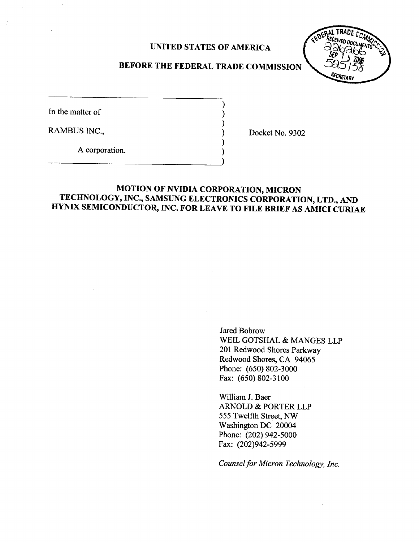# UNITED STATES OF AMERICA



# BEFORE THE FEDERAL TRADE COMMISSION

In the matter of

 $\frac{1}{2}$ 

RAMBUS INC.

Docket No. 9302

A corporation.

# MOTION OF NVIDIA CORPORATION, MICRON TECHNOLOGY, INC., SAMSUNG ELECTRONICS CORPORATION, LTD., AND HYNIX SEMICONDUCTOR, INC. FOR LEAVE TO FILE BRIEF AS AMICI CURIAE

Jared Bobrow WElL GOTSHAL & MANGES LLP 201 Redwood Shores Parkway Redwood Shores, CA 94065 Phone: (650) 802-3000 Fax: (650) 802-3100

Wiliam J. Baer ARNOLD & PORTER LLP 555 Twelfth Street, NW Washington DC 20004 Phone: (202) 942-5000 Fax: (202)942-5999

Counsel for Micron Technology, Inc.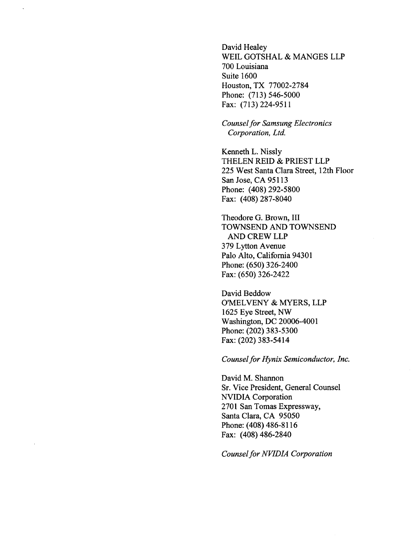David Healey WElL GOTSHAL & MANGES LLP 700 Louisiana Suite 1600 Houston, TX 77002-2784 Phone: (713) 546-5000 Fax: (713) 224-9511

Counsel for Samsung Electronics Corporation, Ltd.

Kenneth L. Nissly THELEN REID & PRIEST LLP 225 West Santa Clara Street, 12th Floor San Jose, CA 95113 Phone: (408) 292-5800 Fax: (408) 287-8040

Theodore G. Brown, III TOWNSEND AND TOWNSEND AND CREW LLP 379 Lytton Avenue Palo Alto, California 94301 Phone: (650) 326-2400 Fax: (650) 326-2422

David Beddow O'MELVENY & MYERS, LLP 1625 Eye Street, NW Washington, DC 20006-4001 Phone: (202) 383-5300 Fax: (202) 383-5414

Counsel for Hynix Semiconductor, Inc.

David M. Shanon Sr. Vice President, General Counsel NVIDIA Corporation 2701 San Tomas Expressway, Santa Clara, CA 95050 Phone: (408) 486-8116 Fax: (408) 486-2840

Counsel for NVIDIA Corporation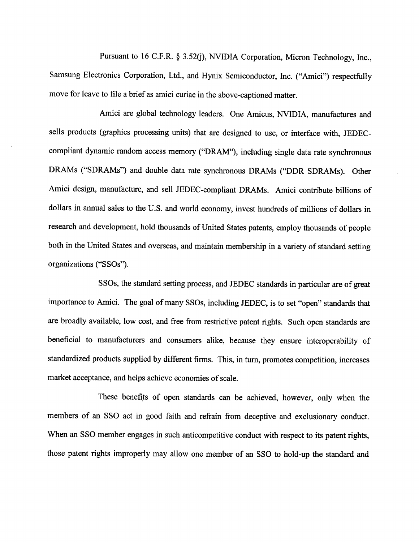Pursuant to 16 C.F.R. § 3.52(j), NVIDIA Corporation, Micron Technology, Inc., Samsung Electronics Corporation, Ltd., and Hynix Semiconductor, Inc. ("Amici") respectfully move for leave to file a brief as amici curiae in the above-captioned matter.

Amici are global technology leaders. One Amicus, NVIDIA, manufactures and sells products (graphics processing units) that are designed to use, or interface with, JEDECcompliant dynamic random access memory ("DRAM"), including single data rate synchronous DRAMs ("SDRAMs") and double data rate synchronous DRAMs ("DDR SDRAMs). Other Amici design, manufacture, and sell JEDEC-compliant DRAMs. Amici contribute bilions of dollars in annual sales to the U.S. and world economy, invest hundreds of milions of dollars in research and development, hold thousands of United States patents, employ thousands of people both in the United States and overseas, and maintain membership in a variety of standard setting organizations ("SSOs

SSOs, the standard setting process, and JEDEC standards in particular are of great importance to Amici. The goal of many SSOs, including JEDEC, is to set "open" standards that are broadly available, low cost, and free from restrictive patent rights. Such open standards are beneficial to manufacturers and consumers alike, because they ensure interoperability of standardized products supplied by different firms. This, in turn, promotes competition, increases market acceptance, and helps achieve economies of scale.

These benefits of open standards can be achieved, however, only when the members of an SSO act in good faith and refrain from deceptive and exclusionary conduct. When an SSO member engages in such anticompetitive conduct with respect to its patent rights, those patent rights improperly may allow one member of an SSO to hold-up the standard and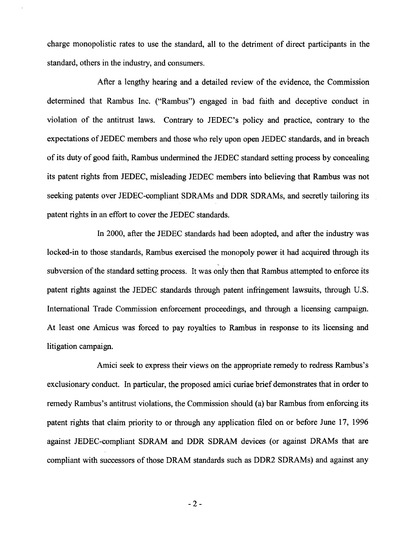charge monopolistic rates to use the standard, all to the detriment of direct participants in the standard, others in the industry, and consumers.

After a lengthy hearing and a detailed review of the evidence, the Commission determined that Rambus Inc. ("Rambus") engaged in bad faith and deceptive conduct in violation of the antitrust laws. Contrary to JEDEC's policy and practice, contrary to the expectations of JEDEC members and those who rely upon open JEDEC standards, and in breach of its duty of good faith, Rambus undermined the JEDEC standard setting process by concealing its patent rights from JEDEC, misleading JEDEC members into believing that Rambus was not seeking patents over JEDEC-compliant SDRAMs and DDR SDRAMs, and secretly tailoring its patent rights in an effort to cover the JEDEC standards.

In 2000, after the JEDEC standards had been adopted, and after the industry was locked-in to those standards, Rambus exercised the monopoly power it had acquired through its subversion of the standard setting process. It was only then that Rambus attempted to enforce its patent rights against the JEDEC standards through patent infringement lawsuits, through U.S. International Trade Commission enforcement proceedings, and through a licensing campaign. At least one Amicus was forced to pay royalties to Rambus in response to its licensing and litigation campaign.

Amici seek to express their views on the appropriate remedy to redress Rambus's exclusionary conduct. In paricular, the proposed amici curiae brief demonstrates that in order to remedy Rambus's antitrust violations, the Commission should (a) bar Rambus from enforcing its patent rights that claim priority to or through any application filed on or before June 17, 1996 against JEDEC-compliant SDRAM and DDR SDRAM devices (or against DRAMs that are compliant with successors of those DRAM standards such as DDR2 SDRAMs) and against any

- 2-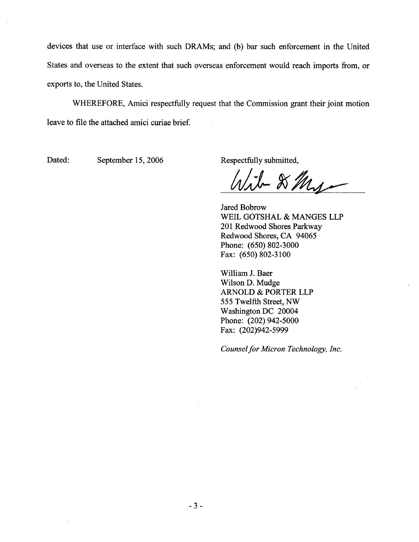devices that use or interface with such DRAMs; and (b) bar such enforcement in the United States and overseas to the extent that such overseas enforcement would reach imports from, or exports to, the United States.

WHEREFORE, Amici respectfully request that the Commission grant their joint motion leave to file the attached amici curiae brief.

Dated: September 15, 2006 Respectfully submitted,

 $-81$ v

Jared Bobrow WElL GOTSHAL & MANGES LLP 201 Redwood Shores Parkway Redwood Shores, CA 94065 Phone: (650) 802-3000 Fax: (650) 802-3100

Wiliam J. Baer Wilson D. Mudge ARNOLD & PORTER LLP 555 Twelfth Street, NW Washington DC 20004 Phone: (202) 942-5000 Fax: (202)942-5999

Counsel for Micron Technology, Inc.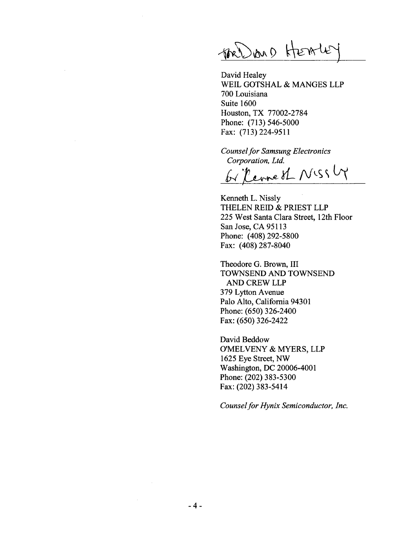$\bigoplus_{k=0}^{\infty}$ 

David Healey WElL GOTSHAL & MANGES LLP 700 Louisiana Suite 1600 Houston, TX 77002-2784 Phone: (713) 546-5000 Fax: (713) 224-9511

Counsel for Samsung Electronics Corporation, Ltd.

be Revne of NISSLY

Kenneth L. Nissly THELEN REID & PRIEST LLP 225 West Santa Clara Street, 12th Floor San Jose, CA 95113 Phone: (408) 292-5800 Fax: (408) 287-8040

Theodore G. Brown, III TOWNSEND AND TOWNSEND AND CREW LLP 379 Lyton Avenue Palo Alto, California 94301 Phone: (650) 326-2400 Fax: (650) 326-2422

David Beddow O'MELVENY & MYERS, LLP 1625 Eye Street, NW Washington, DC 20006-4001 Phone: (202) 383-5300 Fax: (202) 383-5414

Counsel for Hynix Semiconductor, Inc.

 $\alpha$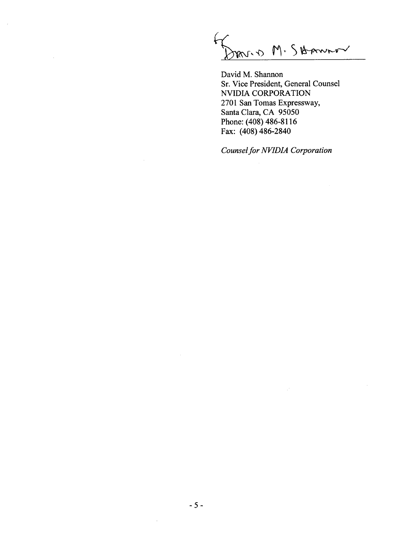mon M. Skanno

 $\mathcal{A}$ 

 $\sim$ 

David M. Shannon Sr. Vice President, General Counsel NVIDIA CORPORATION 2701 San Tomas Expressway, Santa Clara, CA 95050 Phone: (408) 486-8116 Fax: (408) 486-2840

Counsel for NVIDIA Corporation

 $\sim$ 

 $\bar{z}$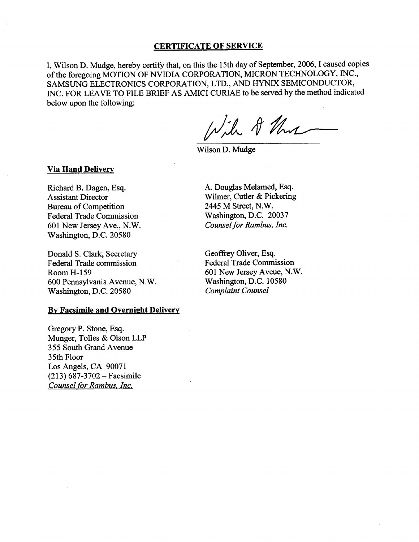### CERTIFICATE OF SERVICE

, Wilson D. Mudge, hereby certify that, on this the 15th day of September, 2006, I caused copies of the foregoing MOTION OF NVIDIA CORPORATION, MICRON TECHNOLOGY, INC. SAMSUNG ELECTRONICS CORPORATION, LTD., AND HYNIX SEMICONDUCTOR INC. FOR LEAVE TO FILE BRIEF AS AMICI CURIAE to be served by the method indicated below upon the following:

Wil 8 threa

Wilson D. Mudge

### Via Hand Delivery

Richard B. Dagen, Esq. Assistant Director Bureau of Competition Federal Trade Commission 601 New Jersey Ave., N. Washington, D.C. 20580

Donald S. Clark, Secretary Federal Trade commission Room H- 159 600 Pennsylvania Avenue, N. Washington, D.C. 20580

#### By Facsimile and Overnight Delivery

Gregory P. Stone, Esq. Munger, Tolles & Olson LLP 355 South Grand Avenue 35th Floor Los Angels, CA 90071  $(213) 687-3702 - Facsimile$ Counsel for Rambus. Inc.

A. Douglas Melamed, Esq. Wilmer, Cutler & Pickering 2445 M Street, N. Washington, D.C. 20037 Counsel for Rambus, Inc.

Geoffrey Oliver, Esq. Federal Trade Commission 601 New Jersey Aveue, N. Washington, D.C. 10580 Complaint Counsel